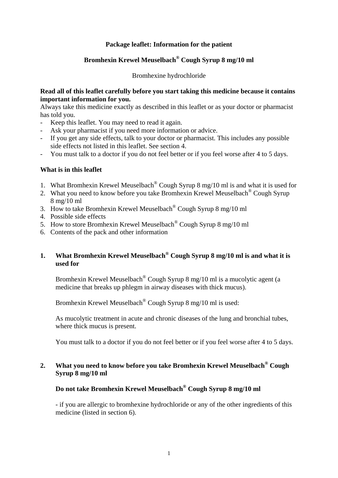## **Package leaflet: Information for the patient**

# **Bromhexin Krewel Meuselbach® Cough Syrup 8 mg/10 ml**

Bromhexine hydrochloride

#### **Read all of this leaflet carefully before you start taking this medicine because it contains important information for you.**

Always take this medicine exactly as described in this leaflet or as your doctor or pharmacist has told you.

- Keep this leaflet. You may need to read it again.
- Ask your pharmacist if you need more information or advice.
- If you get any side effects, talk to your doctor or pharmacist. This includes any possible side effects not listed in this leaflet. See section 4.
- You must talk to a doctor if you do not feel better or if you feel worse after 4 to 5 days.

#### **What is in this leaflet**

- 1. What Bromhexin Krewel Meuselbach® Cough Syrup 8 mg/10 ml is and what it is used for
- 2. What you need to know before you take Bromhexin Krewel Meuselbach<sup>®</sup> Cough Syrup 8 mg/10 ml
- 3. How to take Bromhexin Krewel Meuselbach® Cough Syrup 8 mg/10 ml
- 4. Possible side effects
- 5. How to store Bromhexin Krewel Meuselbach® Cough Syrup 8 mg/10 ml
- 6. Contents of the pack and other information

# **1. What Bromhexin Krewel Meuselbach® Cough Syrup 8 mg/10 ml is and what it is used for**

 Bromhexin Krewel Meuselbach® Cough Syrup 8 mg/10 ml is a mucolytic agent (a medicine that breaks up phlegm in airway diseases with thick mucus).

Bromhexin Krewel Meuselbach® Cough Syrup 8 mg/10 ml is used:

 As mucolytic treatment in acute and chronic diseases of the lung and bronchial tubes, where thick mucus is present.

You must talk to a doctor if you do not feel better or if you feel worse after 4 to 5 days.

## **2. What you need to know before you take Bromhexin Krewel Meuselbach® Cough Syrup 8 mg/10 ml**

## **Do not take Bromhexin Krewel Meuselbach® Cough Syrup 8 mg/10 ml**

 - if you are allergic to bromhexine hydrochloride or any of the other ingredients of this medicine (listed in section 6).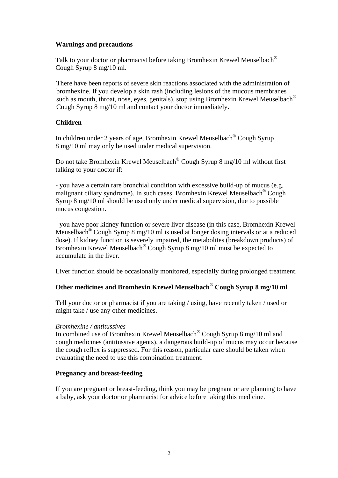### **Warnings and precautions**

 Talk to your doctor or pharmacist before taking Bromhexin Krewel Meuselbach® Cough Syrup 8 mg/10 ml.

 There have been reports of severe skin reactions associated with the administration of bromhexine. If you develop a skin rash (including lesions of the mucous membranes such as mouth, throat, nose, eyes, genitals), stop using Bromhexin Krewel Meuselbach® Cough Syrup 8 mg/10 ml and contact your doctor immediately.

### **Children**

 In children under 2 years of age, Bromhexin Krewel Meuselbach® Cough Syrup 8 mg/10 ml may only be used under medical supervision.

 Do not take Bromhexin Krewel Meuselbach® Cough Syrup 8 mg/10 ml without first talking to your doctor if:

 - you have a certain rare bronchial condition with excessive build-up of mucus (e.g. malignant ciliary syndrome). In such cases, Bromhexin Krewel Meuselbach® Cough Syrup 8 mg/10 ml should be used only under medical supervision, due to possible mucus congestion.

 - you have poor kidney function or severe liver disease (in this case, Bromhexin Krewel Meuselbach® Cough Syrup 8 mg/10 ml is used at longer dosing intervals or at a reduced dose). If kidney function is severely impaired, the metabolites (breakdown products) of Bromhexin Krewel Meuselbach® Cough Syrup 8 mg/10 ml must be expected to accumulate in the liver.

Liver function should be occasionally monitored, especially during prolonged treatment.

# **Other medicines and Bromhexin Krewel Meuselbach® Cough Syrup 8 mg/10 ml**

 Tell your doctor or pharmacist if you are taking / using, have recently taken / used or might take / use any other medicines.

#### *Bromhexine / antitussives*

 In combined use of Bromhexin Krewel Meuselbach® Cough Syrup 8 mg/10 ml and cough medicines (antitussive agents), a dangerous build-up of mucus may occur because the cough reflex is suppressed. For this reason, particular care should be taken when evaluating the need to use this combination treatment.

#### **Pregnancy and breast-feeding**

 If you are pregnant or breast-feeding, think you may be pregnant or are planning to have a baby, ask your doctor or pharmacist for advice before taking this medicine.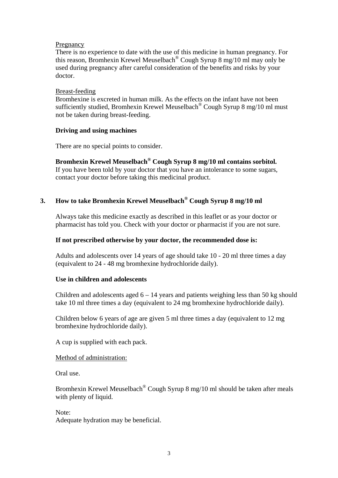#### Pregnancy

 There is no experience to date with the use of this medicine in human pregnancy. For this reason, Bromhexin Krewel Meuselbach® Cough Syrup 8 mg/10 ml may only be used during pregnancy after careful consideration of the benefits and risks by your doctor.

#### Breast-feeding

 Bromhexine is excreted in human milk. As the effects on the infant have not been sufficiently studied, Bromhexin Krewel Meuselbach® Cough Syrup 8 mg/10 ml must not be taken during breast-feeding.

## **Driving and using machines**

There are no special points to consider.

## **Bromhexin Krewel Meuselbach® Cough Syrup 8 mg/10 ml contains sorbitol.**

 If you have been told by your doctor that you have an intolerance to some sugars, contact your doctor before taking this medicinal product.

# **3. How to take Bromhexin Krewel Meuselbach® Cough Syrup 8 mg/10 ml**

 Always take this medicine exactly as described in this leaflet or as your doctor or pharmacist has told you. Check with your doctor or pharmacist if you are not sure.

### **If not prescribed otherwise by your doctor, the recommended dose is:**

 Adults and adolescents over 14 years of age should take 10 - 20 ml three times a day (equivalent to 24 - 48 mg bromhexine hydrochloride daily).

## **Use in children and adolescents**

Children and adolescents aged  $6 - 14$  years and patients weighing less than 50 kg should take 10 ml three times a day (equivalent to 24 mg bromhexine hydrochloride daily).

 Children below 6 years of age are given 5 ml three times a day (equivalent to 12 mg bromhexine hydrochloride daily).

A cup is supplied with each pack.

Method of administration:

Oral use.

 Bromhexin Krewel Meuselbach® Cough Syrup 8 mg/10 ml should be taken after meals with plenty of liquid.

 Note: Adequate hydration may be beneficial.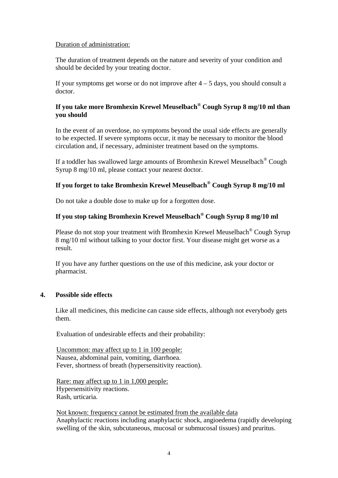### Duration of administration:

 The duration of treatment depends on the nature and severity of your condition and should be decided by your treating doctor.

If your symptoms get worse or do not improve after  $4 - 5$  days, you should consult a doctor.

## **If you take more Bromhexin Krewel Meuselbach® Cough Syrup 8 mg/10 ml than you should**

 In the event of an overdose, no symptoms beyond the usual side effects are generally to be expected. If severe symptoms occur, it may be necessary to monitor the blood circulation and, if necessary, administer treatment based on the symptoms.

 If a toddler has swallowed large amounts of Bromhexin Krewel Meuselbach® Cough Syrup 8 mg/10 ml, please contact your nearest doctor.

# **If you forget to take Bromhexin Krewel Meuselbach® Cough Syrup 8 mg/10 ml**

Do not take a double dose to make up for a forgotten dose.

## **If you stop taking Bromhexin Krewel Meuselbach® Cough Syrup 8 mg/10 ml**

 Please do not stop your treatment with Bromhexin Krewel Meuselbach® Cough Syrup 8 mg/10 ml without talking to your doctor first. Your disease might get worse as a result.

 If you have any further questions on the use of this medicine, ask your doctor or pharmacist.

#### **4. Possible side effects**

 Like all medicines, this medicine can cause side effects, although not everybody gets them.

Evaluation of undesirable effects and their probability:

 Uncommon: may affect up to 1 in 100 people: Nausea, abdominal pain, vomiting, diarrhoea. Fever, shortness of breath (hypersensitivity reaction).

 Rare: may affect up to 1 in 1,000 people: Hypersensitivity reactions. Rash, urticaria.

 Not known: frequency cannot be estimated from the available data Anaphylactic reactions including anaphylactic shock, angioedema (rapidly developing swelling of the skin, subcutaneous, mucosal or submucosal tissues) and pruritus.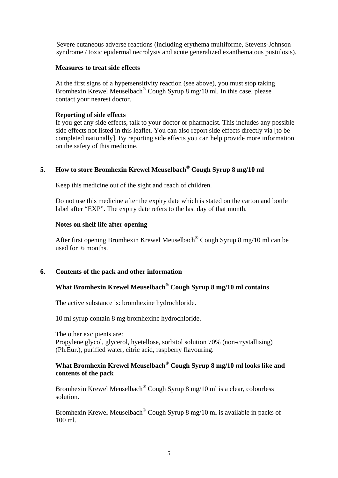Severe cutaneous adverse reactions (including erythema multiforme, Stevens-Johnson syndrome / toxic epidermal necrolysis and acute generalized exanthematous pustulosis).

#### **Measures to treat side effects**

 At the first signs of a hypersensitivity reaction (see above), you must stop taking Bromhexin Krewel Meuselbach<sup>®</sup> Cough Syrup 8 mg/10 ml. In this case, please contact your nearest doctor.

#### **Reporting of side effects**

 If you get any side effects, talk to your doctor or pharmacist. This includes any possible side effects not listed in this leaflet. You can also report side effects directly via [to be completed nationally]. By reporting side effects you can help provide more information on the safety of this medicine.

## **5. How to store Bromhexin Krewel Meuselbach® Cough Syrup 8 mg/10 ml**

Keep this medicine out of the sight and reach of children.

 Do not use this medicine after the expiry date which is stated on the carton and bottle label after "EXP". The expiry date refers to the last day of that month.

#### **Notes on shelf life after opening**

 After first opening Bromhexin Krewel Meuselbach® Cough Syrup 8 mg/10 ml can be used for 6 months.

## **6. Contents of the pack and other information**

# **What Bromhexin Krewel Meuselbach® Cough Syrup 8 mg/10 ml contains**

The active substance is: bromhexine hydrochloride.

10 ml syrup contain 8 mg bromhexine hydrochloride.

 The other excipients are: Propylene glycol, glycerol, hyetellose, sorbitol solution 70% (non-crystallising) (Ph.Eur.), purified water, citric acid, raspberry flavouring.

## **What Bromhexin Krewel Meuselbach® Cough Syrup 8 mg/10 ml looks like and contents of the pack**

 Bromhexin Krewel Meuselbach® Cough Syrup 8 mg/10 ml is a clear, colourless solution.

 Bromhexin Krewel Meuselbach® Cough Syrup 8 mg/10 ml is available in packs of 100 ml.